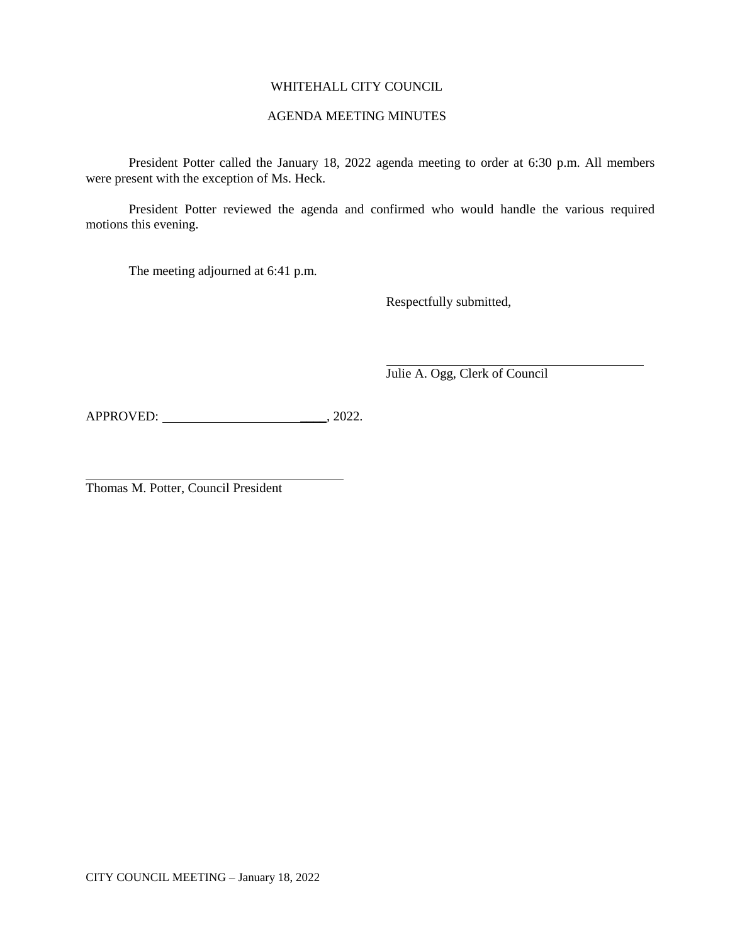# WHITEHALL CITY COUNCIL

## AGENDA MEETING MINUTES

President Potter called the January 18, 2022 agenda meeting to order at 6:30 p.m. All members were present with the exception of Ms. Heck.

President Potter reviewed the agenda and confirmed who would handle the various required motions this evening.

The meeting adjourned at 6:41 p.m.

Respectfully submitted,

Julie A. Ogg, Clerk of Council

APPROVED: \_\_\_\_, 2022.

Thomas M. Potter, Council President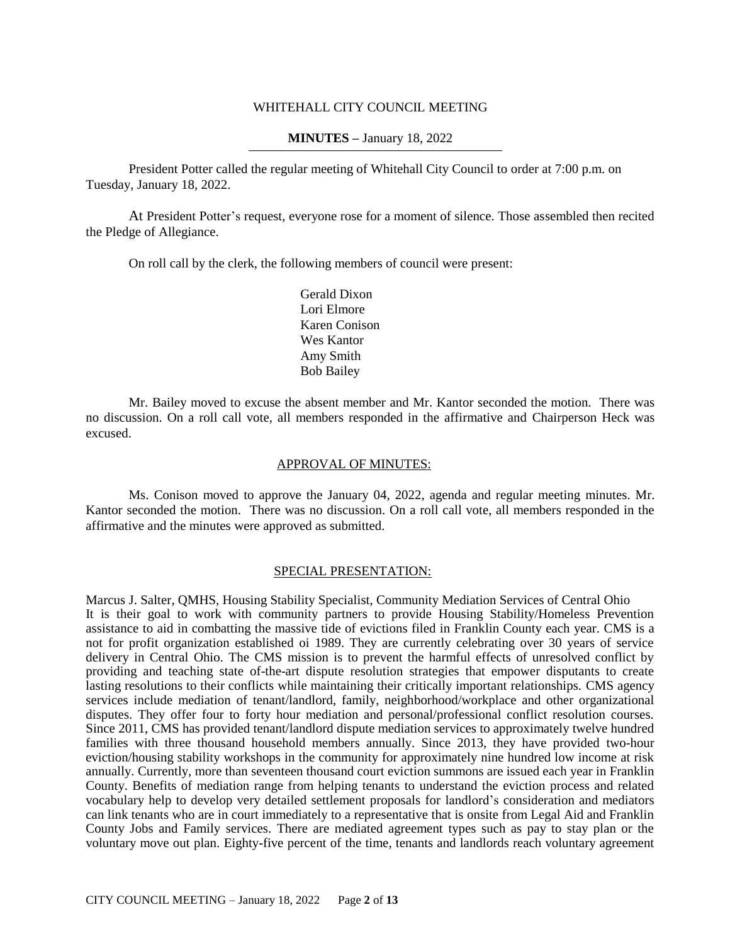### WHITEHALL CITY COUNCIL MEETING

### **MINUTES –** January 18, 2022

President Potter called the regular meeting of Whitehall City Council to order at 7:00 p.m. on Tuesday, January 18, 2022.

At President Potter's request, everyone rose for a moment of silence. Those assembled then recited the Pledge of Allegiance.

On roll call by the clerk, the following members of council were present:

Gerald Dixon Lori Elmore Karen Conison Wes Kantor Amy Smith Bob Bailey

Mr. Bailey moved to excuse the absent member and Mr. Kantor seconded the motion. There was no discussion. On a roll call vote, all members responded in the affirmative and Chairperson Heck was excused.

# APPROVAL OF MINUTES:

Ms. Conison moved to approve the January 04, 2022, agenda and regular meeting minutes. Mr. Kantor seconded the motion. There was no discussion. On a roll call vote, all members responded in the affirmative and the minutes were approved as submitted.

#### SPECIAL PRESENTATION:

Marcus J. Salter, QMHS, Housing Stability Specialist, Community Mediation Services of Central Ohio It is their goal to work with community partners to provide Housing Stability/Homeless Prevention assistance to aid in combatting the massive tide of evictions filed in Franklin County each year. CMS is a not for profit organization established oi 1989. They are currently celebrating over 30 years of service delivery in Central Ohio. The CMS mission is to prevent the harmful effects of unresolved conflict by providing and teaching state of-the-art dispute resolution strategies that empower disputants to create lasting resolutions to their conflicts while maintaining their critically important relationships. CMS agency services include mediation of tenant/landlord, family, neighborhood/workplace and other organizational disputes. They offer four to forty hour mediation and personal/professional conflict resolution courses. Since 2011, CMS has provided tenant/landlord dispute mediation services to approximately twelve hundred families with three thousand household members annually. Since 2013, they have provided two-hour eviction/housing stability workshops in the community for approximately nine hundred low income at risk annually. Currently, more than seventeen thousand court eviction summons are issued each year in Franklin County. Benefits of mediation range from helping tenants to understand the eviction process and related vocabulary help to develop very detailed settlement proposals for landlord's consideration and mediators can link tenants who are in court immediately to a representative that is onsite from Legal Aid and Franklin County Jobs and Family services. There are mediated agreement types such as pay to stay plan or the voluntary move out plan. Eighty-five percent of the time, tenants and landlords reach voluntary agreement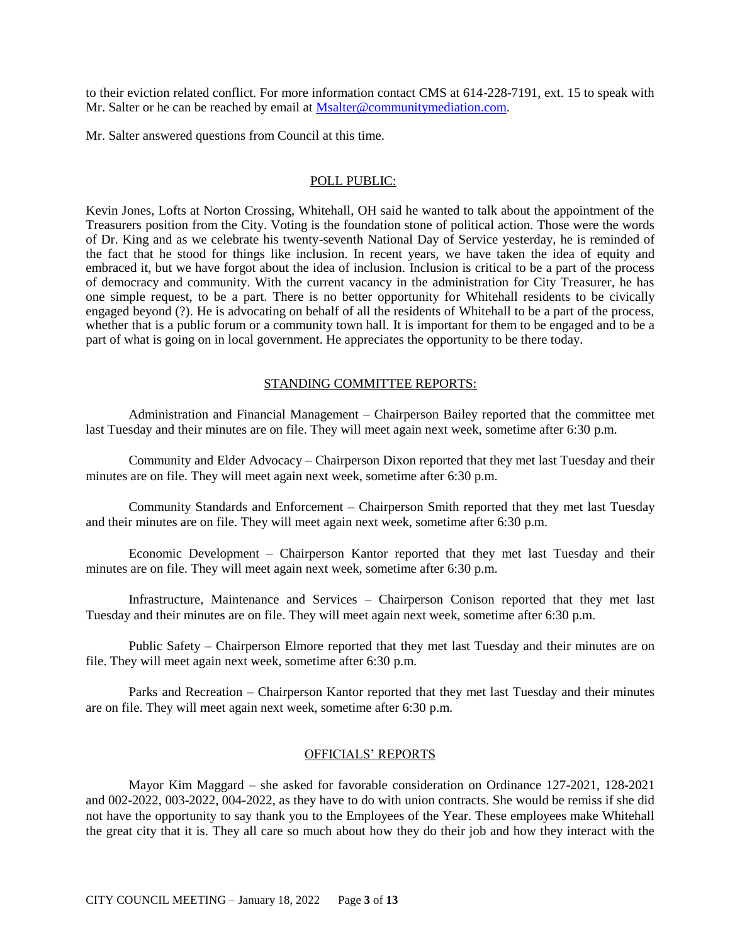to their eviction related conflict. For more information contact CMS at 614-228-7191, ext. 15 to speak with Mr. Salter or he can be reached by email at [Msalter@communitymediation.com.](mailto:Msalter@communitymediation.com)

Mr. Salter answered questions from Council at this time.

#### POLL PUBLIC:

Kevin Jones, Lofts at Norton Crossing, Whitehall, OH said he wanted to talk about the appointment of the Treasurers position from the City. Voting is the foundation stone of political action. Those were the words of Dr. King and as we celebrate his twenty-seventh National Day of Service yesterday, he is reminded of the fact that he stood for things like inclusion. In recent years, we have taken the idea of equity and embraced it, but we have forgot about the idea of inclusion. Inclusion is critical to be a part of the process of democracy and community. With the current vacancy in the administration for City Treasurer, he has one simple request, to be a part. There is no better opportunity for Whitehall residents to be civically engaged beyond (?). He is advocating on behalf of all the residents of Whitehall to be a part of the process, whether that is a public forum or a community town hall. It is important for them to be engaged and to be a part of what is going on in local government. He appreciates the opportunity to be there today.

#### STANDING COMMITTEE REPORTS:

Administration and Financial Management – Chairperson Bailey reported that the committee met last Tuesday and their minutes are on file. They will meet again next week, sometime after 6:30 p.m.

Community and Elder Advocacy – Chairperson Dixon reported that they met last Tuesday and their minutes are on file. They will meet again next week, sometime after 6:30 p.m.

Community Standards and Enforcement – Chairperson Smith reported that they met last Tuesday and their minutes are on file. They will meet again next week, sometime after 6:30 p.m.

Economic Development – Chairperson Kantor reported that they met last Tuesday and their minutes are on file. They will meet again next week, sometime after 6:30 p.m.

Infrastructure, Maintenance and Services – Chairperson Conison reported that they met last Tuesday and their minutes are on file. They will meet again next week, sometime after 6:30 p.m.

Public Safety – Chairperson Elmore reported that they met last Tuesday and their minutes are on file. They will meet again next week, sometime after 6:30 p.m.

Parks and Recreation – Chairperson Kantor reported that they met last Tuesday and their minutes are on file. They will meet again next week, sometime after 6:30 p.m.

## OFFICIALS' REPORTS

Mayor Kim Maggard – she asked for favorable consideration on Ordinance 127-2021, 128-2021 and 002-2022, 003-2022, 004-2022, as they have to do with union contracts. She would be remiss if she did not have the opportunity to say thank you to the Employees of the Year. These employees make Whitehall the great city that it is. They all care so much about how they do their job and how they interact with the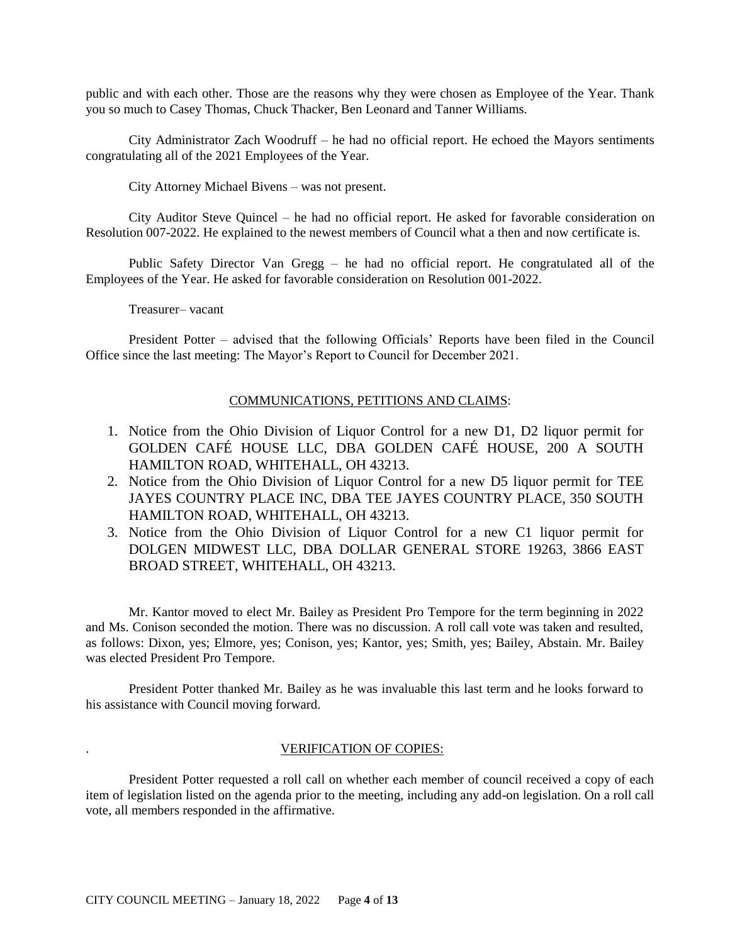public and with each other. Those are the reasons why they were chosen as Employee of the Year. Thank you so much to Casey Thomas, Chuck Thacker, Ben Leonard and Tanner Williams.

City Administrator Zach Woodruff – he had no official report. He echoed the Mayors sentiments congratulating all of the 2021 Employees of the Year.

City Attorney Michael Bivens – was not present.

City Auditor Steve Quincel – he had no official report. He asked for favorable consideration on Resolution 007-2022. He explained to the newest members of Council what a then and now certificate is.

Public Safety Director Van Gregg – he had no official report. He congratulated all of the Employees of the Year. He asked for favorable consideration on Resolution 001-2022.

Treasurer– vacant

President Potter – advised that the following Officials' Reports have been filed in the Council Office since the last meeting: The Mayor's Report to Council for December 2021.

## COMMUNICATIONS, PETITIONS AND CLAIMS:

- 1. Notice from the Ohio Division of Liquor Control for a new D1, D2 liquor permit for GOLDEN CAFÉ HOUSE LLC, DBA GOLDEN CAFÉ HOUSE, 200 A SOUTH HAMILTON ROAD, WHITEHALL, OH 43213.
- 2. Notice from the Ohio Division of Liquor Control for a new D5 liquor permit for TEE JAYES COUNTRY PLACE INC, DBA TEE JAYES COUNTRY PLACE, 350 SOUTH HAMILTON ROAD, WHITEHALL, OH 43213.
- 3. Notice from the Ohio Division of Liquor Control for a new C1 liquor permit for DOLGEN MIDWEST LLC, DBA DOLLAR GENERAL STORE 19263, 3866 EAST BROAD STREET, WHITEHALL, OH 43213.

Mr. Kantor moved to elect Mr. Bailey as President Pro Tempore for the term beginning in 2022 and Ms. Conison seconded the motion. There was no discussion. A roll call vote was taken and resulted, as follows: Dixon, yes; Elmore, yes; Conison, yes; Kantor, yes; Smith, yes; Bailey, Abstain. Mr. Bailey was elected President Pro Tempore.

President Potter thanked Mr. Bailey as he was invaluable this last term and he looks forward to his assistance with Council moving forward.

### . VERIFICATION OF COPIES:

President Potter requested a roll call on whether each member of council received a copy of each item of legislation listed on the agenda prior to the meeting, including any add-on legislation. On a roll call vote, all members responded in the affirmative.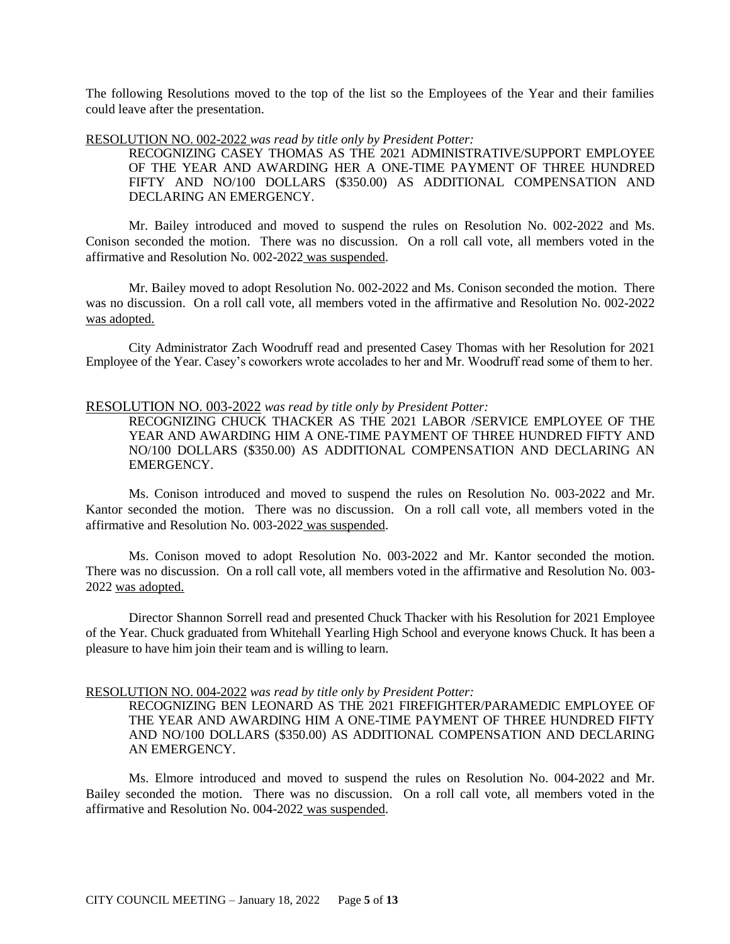The following Resolutions moved to the top of the list so the Employees of the Year and their families could leave after the presentation.

RESOLUTION NO. 002-2022 *was read by title only by President Potter:*

RECOGNIZING CASEY THOMAS AS THE 2021 ADMINISTRATIVE/SUPPORT EMPLOYEE OF THE YEAR AND AWARDING HER A ONE-TIME PAYMENT OF THREE HUNDRED FIFTY AND NO/100 DOLLARS (\$350.00) AS ADDITIONAL COMPENSATION AND DECLARING AN EMERGENCY.

Mr. Bailey introduced and moved to suspend the rules on Resolution No. 002-2022 and Ms. Conison seconded the motion. There was no discussion. On a roll call vote, all members voted in the affirmative and Resolution No. 002-2022 was suspended.

Mr. Bailey moved to adopt Resolution No. 002-2022 and Ms. Conison seconded the motion. There was no discussion. On a roll call vote, all members voted in the affirmative and Resolution No. 002-2022 was adopted.

City Administrator Zach Woodruff read and presented Casey Thomas with her Resolution for 2021 Employee of the Year. Casey's coworkers wrote accolades to her and Mr. Woodruff read some of them to her.

#### RESOLUTION NO. 003-2022 *was read by title only by President Potter:*

RECOGNIZING CHUCK THACKER AS THE 2021 LABOR /SERVICE EMPLOYEE OF THE YEAR AND AWARDING HIM A ONE-TIME PAYMENT OF THREE HUNDRED FIFTY AND NO/100 DOLLARS (\$350.00) AS ADDITIONAL COMPENSATION AND DECLARING AN EMERGENCY.

Ms. Conison introduced and moved to suspend the rules on Resolution No. 003-2022 and Mr. Kantor seconded the motion. There was no discussion. On a roll call vote, all members voted in the affirmative and Resolution No. 003-2022 was suspended.

Ms. Conison moved to adopt Resolution No. 003-2022 and Mr. Kantor seconded the motion. There was no discussion. On a roll call vote, all members voted in the affirmative and Resolution No. 003- 2022 was adopted.

Director Shannon Sorrell read and presented Chuck Thacker with his Resolution for 2021 Employee of the Year. Chuck graduated from Whitehall Yearling High School and everyone knows Chuck. It has been a pleasure to have him join their team and is willing to learn.

#### RESOLUTION NO. 004-2022 *was read by title only by President Potter:*

RECOGNIZING BEN LEONARD AS THE 2021 FIREFIGHTER/PARAMEDIC EMPLOYEE OF THE YEAR AND AWARDING HIM A ONE-TIME PAYMENT OF THREE HUNDRED FIFTY AND NO/100 DOLLARS (\$350.00) AS ADDITIONAL COMPENSATION AND DECLARING AN EMERGENCY.

Ms. Elmore introduced and moved to suspend the rules on Resolution No. 004-2022 and Mr. Bailey seconded the motion. There was no discussion. On a roll call vote, all members voted in the affirmative and Resolution No. 004-2022 was suspended.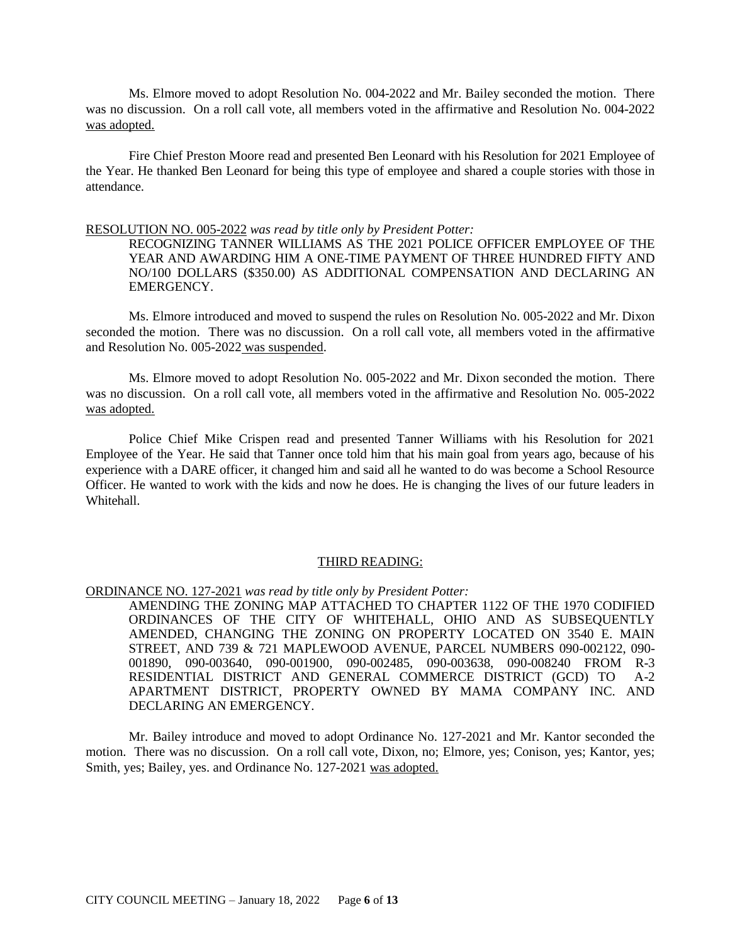Ms. Elmore moved to adopt Resolution No. 004-2022 and Mr. Bailey seconded the motion. There was no discussion. On a roll call vote, all members voted in the affirmative and Resolution No. 004-2022 was adopted.

Fire Chief Preston Moore read and presented Ben Leonard with his Resolution for 2021 Employee of the Year. He thanked Ben Leonard for being this type of employee and shared a couple stories with those in attendance.

#### RESOLUTION NO. 005-2022 *was read by title only by President Potter:*

RECOGNIZING TANNER WILLIAMS AS THE 2021 POLICE OFFICER EMPLOYEE OF THE YEAR AND AWARDING HIM A ONE-TIME PAYMENT OF THREE HUNDRED FIFTY AND NO/100 DOLLARS (\$350.00) AS ADDITIONAL COMPENSATION AND DECLARING AN EMERGENCY.

Ms. Elmore introduced and moved to suspend the rules on Resolution No. 005-2022 and Mr. Dixon seconded the motion. There was no discussion. On a roll call vote, all members voted in the affirmative and Resolution No. 005-2022 was suspended.

Ms. Elmore moved to adopt Resolution No. 005-2022 and Mr. Dixon seconded the motion. There was no discussion. On a roll call vote, all members voted in the affirmative and Resolution No. 005-2022 was adopted.

Police Chief Mike Crispen read and presented Tanner Williams with his Resolution for 2021 Employee of the Year. He said that Tanner once told him that his main goal from years ago, because of his experience with a DARE officer, it changed him and said all he wanted to do was become a School Resource Officer. He wanted to work with the kids and now he does. He is changing the lives of our future leaders in Whitehall.

#### THIRD READING:

ORDINANCE NO. 127-2021 *was read by title only by President Potter:*

AMENDING THE ZONING MAP ATTACHED TO CHAPTER 1122 OF THE 1970 CODIFIED ORDINANCES OF THE CITY OF WHITEHALL, OHIO AND AS SUBSEQUENTLY AMENDED, CHANGING THE ZONING ON PROPERTY LOCATED ON 3540 E. MAIN STREET, AND 739 & 721 MAPLEWOOD AVENUE, PARCEL NUMBERS 090-002122, 090- 001890, 090-003640, 090-001900, 090-002485, 090-003638, 090-008240 FROM R-3 RESIDENTIAL DISTRICT AND GENERAL COMMERCE DISTRICT (GCD) TO A-2 APARTMENT DISTRICT, PROPERTY OWNED BY MAMA COMPANY INC. AND DECLARING AN EMERGENCY.

Mr. Bailey introduce and moved to adopt Ordinance No. 127-2021 and Mr. Kantor seconded the motion. There was no discussion. On a roll call vote, Dixon, no; Elmore, yes; Conison, yes; Kantor, yes; Smith, yes; Bailey, yes. and Ordinance No. 127-2021 was adopted.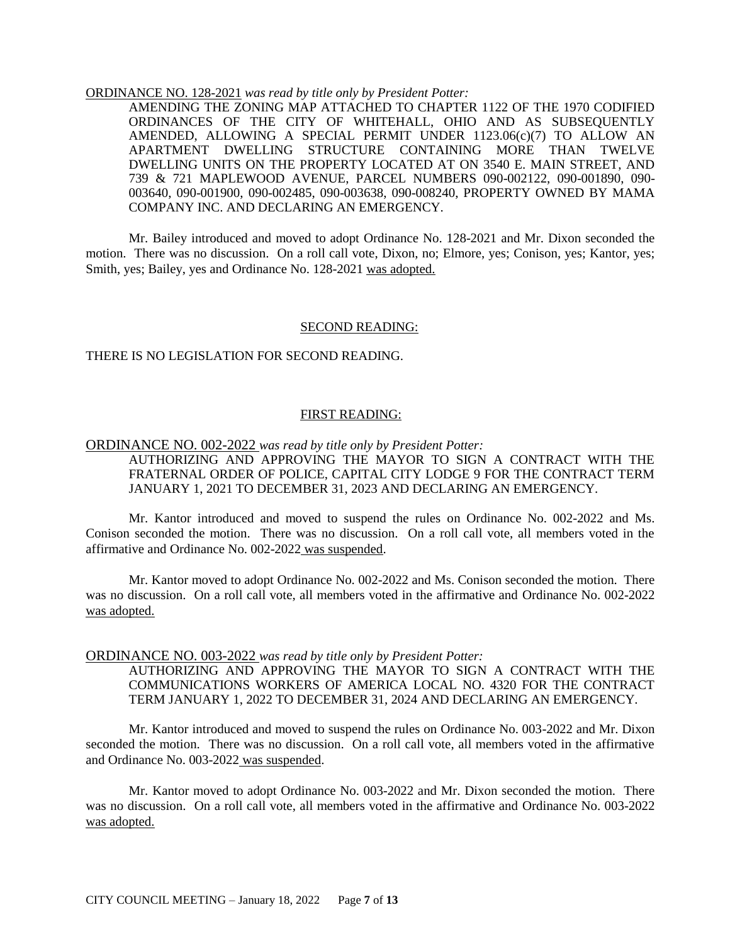#### ORDINANCE NO. 128-2021 *was read by title only by President Potter:*

AMENDING THE ZONING MAP ATTACHED TO CHAPTER 1122 OF THE 1970 CODIFIED ORDINANCES OF THE CITY OF WHITEHALL, OHIO AND AS SUBSEQUENTLY AMENDED, ALLOWING A SPECIAL PERMIT UNDER  $1123.06(c)(7)$  TO ALLOW AN APARTMENT DWELLING STRUCTURE CONTAINING MORE THAN TWELVE DWELLING UNITS ON THE PROPERTY LOCATED AT ON 3540 E. MAIN STREET, AND 739 & 721 MAPLEWOOD AVENUE, PARCEL NUMBERS 090-002122, 090-001890, 090- 003640, 090-001900, 090-002485, 090-003638, 090-008240, PROPERTY OWNED BY MAMA COMPANY INC. AND DECLARING AN EMERGENCY.

Mr. Bailey introduced and moved to adopt Ordinance No. 128-2021 and Mr. Dixon seconded the motion. There was no discussion. On a roll call vote, Dixon, no; Elmore, yes; Conison, yes; Kantor, yes; Smith, yes; Bailey, yes and Ordinance No. 128-2021 was adopted.

#### SECOND READING:

### THERE IS NO LEGISLATION FOR SECOND READING.

### FIRST READING:

ORDINANCE NO. 002-2022 *was read by title only by President Potter:*

AUTHORIZING AND APPROVING THE MAYOR TO SIGN A CONTRACT WITH THE FRATERNAL ORDER OF POLICE, CAPITAL CITY LODGE 9 FOR THE CONTRACT TERM JANUARY 1, 2021 TO DECEMBER 31, 2023 AND DECLARING AN EMERGENCY.

Mr. Kantor introduced and moved to suspend the rules on Ordinance No. 002-2022 and Ms. Conison seconded the motion. There was no discussion. On a roll call vote, all members voted in the affirmative and Ordinance No. 002-2022 was suspended.

Mr. Kantor moved to adopt Ordinance No. 002-2022 and Ms. Conison seconded the motion. There was no discussion. On a roll call vote, all members voted in the affirmative and Ordinance No. 002-2022 was adopted.

#### ORDINANCE NO. 003-2022 *was read by title only by President Potter:*

AUTHORIZING AND APPROVING THE MAYOR TO SIGN A CONTRACT WITH THE COMMUNICATIONS WORKERS OF AMERICA LOCAL NO. 4320 FOR THE CONTRACT TERM JANUARY 1, 2022 TO DECEMBER 31, 2024 AND DECLARING AN EMERGENCY.

Mr. Kantor introduced and moved to suspend the rules on Ordinance No. 003-2022 and Mr. Dixon seconded the motion. There was no discussion. On a roll call vote, all members voted in the affirmative and Ordinance No. 003-2022 was suspended.

Mr. Kantor moved to adopt Ordinance No. 003-2022 and Mr. Dixon seconded the motion. There was no discussion. On a roll call vote, all members voted in the affirmative and Ordinance No. 003-2022 was adopted.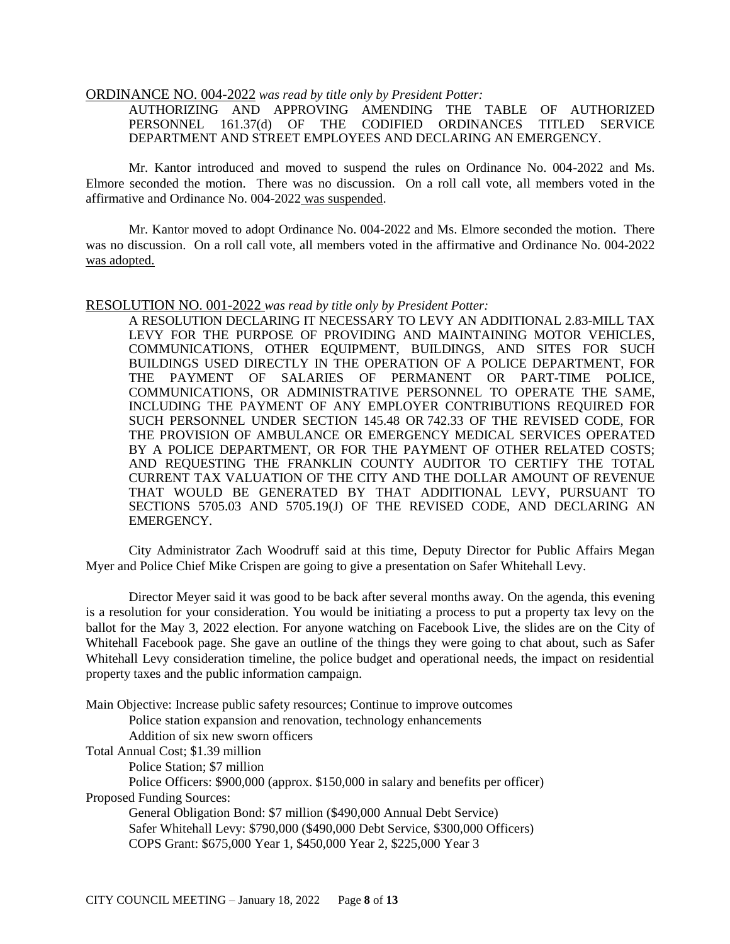### ORDINANCE NO. 004-2022 *was read by title only by President Potter:*

AUTHORIZING AND APPROVING AMENDING THE TABLE OF AUTHORIZED PERSONNEL 161.37(d) OF THE CODIFIED ORDINANCES TITLED SERVICE DEPARTMENT AND STREET EMPLOYEES AND DECLARING AN EMERGENCY.

Mr. Kantor introduced and moved to suspend the rules on Ordinance No. 004-2022 and Ms. Elmore seconded the motion. There was no discussion. On a roll call vote, all members voted in the affirmative and Ordinance No. 004-2022 was suspended.

Mr. Kantor moved to adopt Ordinance No. 004-2022 and Ms. Elmore seconded the motion. There was no discussion. On a roll call vote, all members voted in the affirmative and Ordinance No. 004-2022 was adopted.

#### RESOLUTION NO. 001-2022 *was read by title only by President Potter:*

A RESOLUTION DECLARING IT NECESSARY TO LEVY AN ADDITIONAL 2.83-MILL TAX LEVY FOR THE PURPOSE OF PROVIDING AND MAINTAINING MOTOR VEHICLES, COMMUNICATIONS, OTHER EQUIPMENT, BUILDINGS, AND SITES FOR SUCH BUILDINGS USED DIRECTLY IN THE OPERATION OF A POLICE DEPARTMENT, FOR THE PAYMENT OF SALARIES OF PERMANENT OR PART-TIME POLICE, COMMUNICATIONS, OR ADMINISTRATIVE PERSONNEL TO OPERATE THE SAME, INCLUDING THE PAYMENT OF ANY EMPLOYER CONTRIBUTIONS REQUIRED FOR SUCH PERSONNEL UNDER SECTION 145.48 OR 742.33 OF THE REVISED CODE, FOR THE PROVISION OF AMBULANCE OR EMERGENCY MEDICAL SERVICES OPERATED BY A POLICE DEPARTMENT, OR FOR THE PAYMENT OF OTHER RELATED COSTS; AND REQUESTING THE FRANKLIN COUNTY AUDITOR TO CERTIFY THE TOTAL CURRENT TAX VALUATION OF THE CITY AND THE DOLLAR AMOUNT OF REVENUE THAT WOULD BE GENERATED BY THAT ADDITIONAL LEVY, PURSUANT TO SECTIONS 5705.03 AND 5705.19(J) OF THE REVISED CODE, AND DECLARING AN EMERGENCY.

City Administrator Zach Woodruff said at this time, Deputy Director for Public Affairs Megan Myer and Police Chief Mike Crispen are going to give a presentation on Safer Whitehall Levy.

Director Meyer said it was good to be back after several months away. On the agenda, this evening is a resolution for your consideration. You would be initiating a process to put a property tax levy on the ballot for the May 3, 2022 election. For anyone watching on Facebook Live, the slides are on the City of Whitehall Facebook page. She gave an outline of the things they were going to chat about, such as Safer Whitehall Levy consideration timeline, the police budget and operational needs, the impact on residential property taxes and the public information campaign.

Main Objective: Increase public safety resources; Continue to improve outcomes Police station expansion and renovation, technology enhancements Addition of six new sworn officers Total Annual Cost; \$1.39 million Police Station; \$7 million Police Officers: \$900,000 (approx. \$150,000 in salary and benefits per officer) Proposed Funding Sources: General Obligation Bond: \$7 million (\$490,000 Annual Debt Service) Safer Whitehall Levy: \$790,000 (\$490,000 Debt Service, \$300,000 Officers) COPS Grant: \$675,000 Year 1, \$450,000 Year 2, \$225,000 Year 3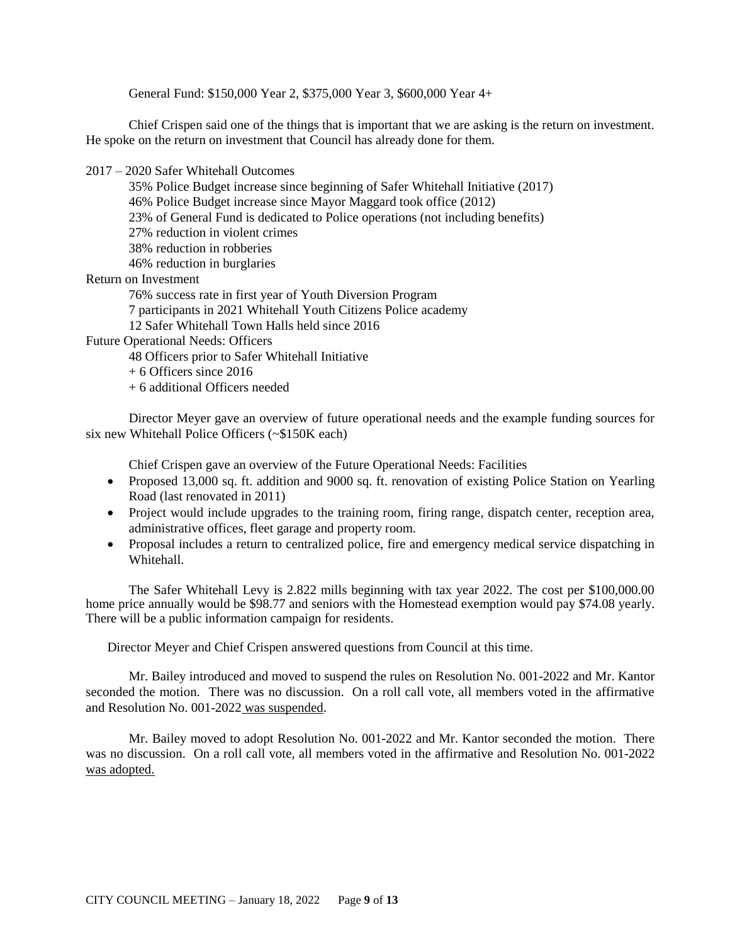General Fund: \$150,000 Year 2, \$375,000 Year 3, \$600,000 Year 4+

Chief Crispen said one of the things that is important that we are asking is the return on investment. He spoke on the return on investment that Council has already done for them.

2017 – 2020 Safer Whitehall Outcomes

- 35% Police Budget increase since beginning of Safer Whitehall Initiative (2017)
- 46% Police Budget increase since Mayor Maggard took office (2012)
- 23% of General Fund is dedicated to Police operations (not including benefits)
- 27% reduction in violent crimes
- 38% reduction in robberies
- 46% reduction in burglaries

Return on Investment

76% success rate in first year of Youth Diversion Program

7 participants in 2021 Whitehall Youth Citizens Police academy

12 Safer Whitehall Town Halls held since 2016

Future Operational Needs: Officers

48 Officers prior to Safer Whitehall Initiative

+ 6 Officers since 2016

+ 6 additional Officers needed

Director Meyer gave an overview of future operational needs and the example funding sources for six new Whitehall Police Officers (~\$150K each)

Chief Crispen gave an overview of the Future Operational Needs: Facilities

- Proposed 13,000 sq. ft. addition and 9000 sq. ft. renovation of existing Police Station on Yearling Road (last renovated in 2011)
- Project would include upgrades to the training room, firing range, dispatch center, reception area, administrative offices, fleet garage and property room.
- Proposal includes a return to centralized police, fire and emergency medical service dispatching in Whitehall.

The Safer Whitehall Levy is 2.822 mills beginning with tax year 2022. The cost per \$100,000.00 home price annually would be \$98.77 and seniors with the Homestead exemption would pay \$74.08 yearly. There will be a public information campaign for residents.

Director Meyer and Chief Crispen answered questions from Council at this time.

Mr. Bailey introduced and moved to suspend the rules on Resolution No. 001-2022 and Mr. Kantor seconded the motion. There was no discussion. On a roll call vote, all members voted in the affirmative and Resolution No. 001-2022 was suspended.

Mr. Bailey moved to adopt Resolution No. 001-2022 and Mr. Kantor seconded the motion. There was no discussion. On a roll call vote, all members voted in the affirmative and Resolution No. 001-2022 was adopted.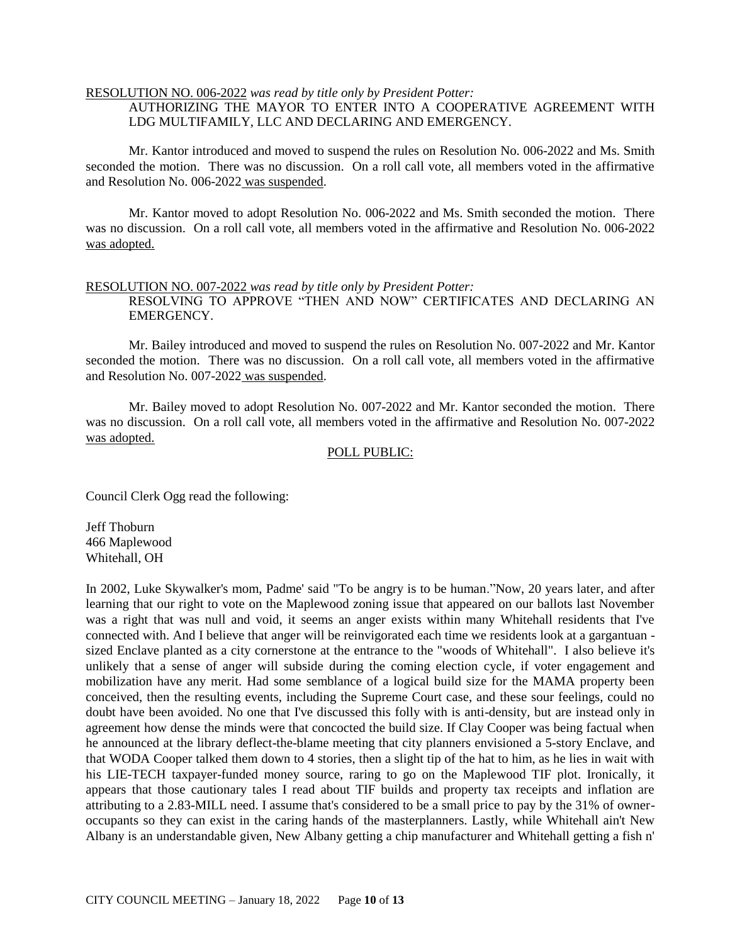## RESOLUTION NO. 006-2022 *was read by title only by President Potter:*

AUTHORIZING THE MAYOR TO ENTER INTO A COOPERATIVE AGREEMENT WITH LDG MULTIFAMILY, LLC AND DECLARING AND EMERGENCY.

Mr. Kantor introduced and moved to suspend the rules on Resolution No. 006-2022 and Ms. Smith seconded the motion. There was no discussion. On a roll call vote, all members voted in the affirmative and Resolution No. 006-2022 was suspended.

Mr. Kantor moved to adopt Resolution No. 006-2022 and Ms. Smith seconded the motion. There was no discussion. On a roll call vote, all members voted in the affirmative and Resolution No. 006-2022 was adopted.

#### RESOLUTION NO. 007-2022 *was read by title only by President Potter:*

RESOLVING TO APPROVE "THEN AND NOW" CERTIFICATES AND DECLARING AN EMERGENCY.

Mr. Bailey introduced and moved to suspend the rules on Resolution No. 007-2022 and Mr. Kantor seconded the motion. There was no discussion. On a roll call vote, all members voted in the affirmative and Resolution No. 007-2022 was suspended.

Mr. Bailey moved to adopt Resolution No. 007-2022 and Mr. Kantor seconded the motion. There was no discussion. On a roll call vote, all members voted in the affirmative and Resolution No. 007-2022 was adopted.

#### POLL PUBLIC:

Council Clerk Ogg read the following:

Jeff Thoburn 466 Maplewood Whitehall, OH

In 2002, Luke Skywalker's mom, Padme' said "To be angry is to be human."Now, 20 years later, and after learning that our right to vote on the Maplewood zoning issue that appeared on our ballots last November was a right that was null and void, it seems an anger exists within many Whitehall residents that I've connected with. And I believe that anger will be reinvigorated each time we residents look at a gargantuan sized Enclave planted as a city cornerstone at the entrance to the "woods of Whitehall". I also believe it's unlikely that a sense of anger will subside during the coming election cycle, if voter engagement and mobilization have any merit. Had some semblance of a logical build size for the MAMA property been conceived, then the resulting events, including the Supreme Court case, and these sour feelings, could no doubt have been avoided. No one that I've discussed this folly with is anti-density, but are instead only in agreement how dense the minds were that concocted the build size. If Clay Cooper was being factual when he announced at the library deflect-the-blame meeting that city planners envisioned a 5-story Enclave, and that WODA Cooper talked them down to 4 stories, then a slight tip of the hat to him, as he lies in wait with his LIE-TECH taxpayer-funded money source, raring to go on the Maplewood TIF plot. Ironically, it appears that those cautionary tales I read about TIF builds and property tax receipts and inflation are attributing to a 2.83-MILL need. I assume that's considered to be a small price to pay by the 31% of owneroccupants so they can exist in the caring hands of the masterplanners. Lastly, while Whitehall ain't New Albany is an understandable given, New Albany getting a chip manufacturer and Whitehall getting a fish n'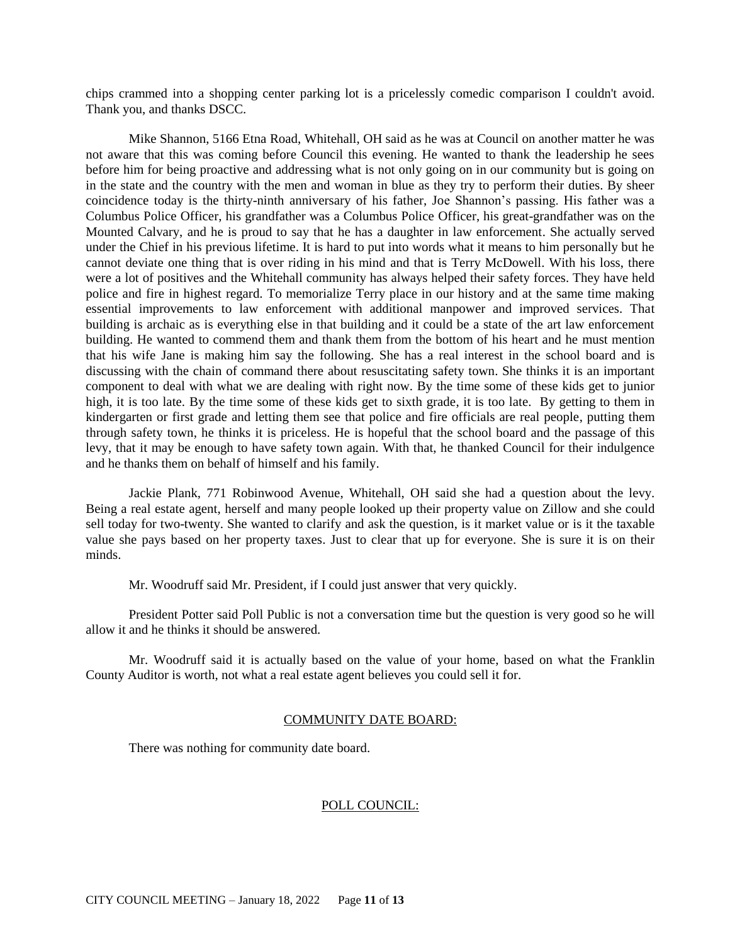chips crammed into a shopping center parking lot is a pricelessly comedic comparison I couldn't avoid. Thank you, and thanks DSCC.

Mike Shannon, 5166 Etna Road, Whitehall, OH said as he was at Council on another matter he was not aware that this was coming before Council this evening. He wanted to thank the leadership he sees before him for being proactive and addressing what is not only going on in our community but is going on in the state and the country with the men and woman in blue as they try to perform their duties. By sheer coincidence today is the thirty-ninth anniversary of his father, Joe Shannon's passing. His father was a Columbus Police Officer, his grandfather was a Columbus Police Officer, his great-grandfather was on the Mounted Calvary, and he is proud to say that he has a daughter in law enforcement. She actually served under the Chief in his previous lifetime. It is hard to put into words what it means to him personally but he cannot deviate one thing that is over riding in his mind and that is Terry McDowell. With his loss, there were a lot of positives and the Whitehall community has always helped their safety forces. They have held police and fire in highest regard. To memorialize Terry place in our history and at the same time making essential improvements to law enforcement with additional manpower and improved services. That building is archaic as is everything else in that building and it could be a state of the art law enforcement building. He wanted to commend them and thank them from the bottom of his heart and he must mention that his wife Jane is making him say the following. She has a real interest in the school board and is discussing with the chain of command there about resuscitating safety town. She thinks it is an important component to deal with what we are dealing with right now. By the time some of these kids get to junior high, it is too late. By the time some of these kids get to sixth grade, it is too late. By getting to them in kindergarten or first grade and letting them see that police and fire officials are real people, putting them through safety town, he thinks it is priceless. He is hopeful that the school board and the passage of this levy, that it may be enough to have safety town again. With that, he thanked Council for their indulgence and he thanks them on behalf of himself and his family.

Jackie Plank, 771 Robinwood Avenue, Whitehall, OH said she had a question about the levy. Being a real estate agent, herself and many people looked up their property value on Zillow and she could sell today for two-twenty. She wanted to clarify and ask the question, is it market value or is it the taxable value she pays based on her property taxes. Just to clear that up for everyone. She is sure it is on their minds.

Mr. Woodruff said Mr. President, if I could just answer that very quickly.

President Potter said Poll Public is not a conversation time but the question is very good so he will allow it and he thinks it should be answered.

Mr. Woodruff said it is actually based on the value of your home, based on what the Franklin County Auditor is worth, not what a real estate agent believes you could sell it for.

# COMMUNITY DATE BOARD:

There was nothing for community date board.

## POLL COUNCIL: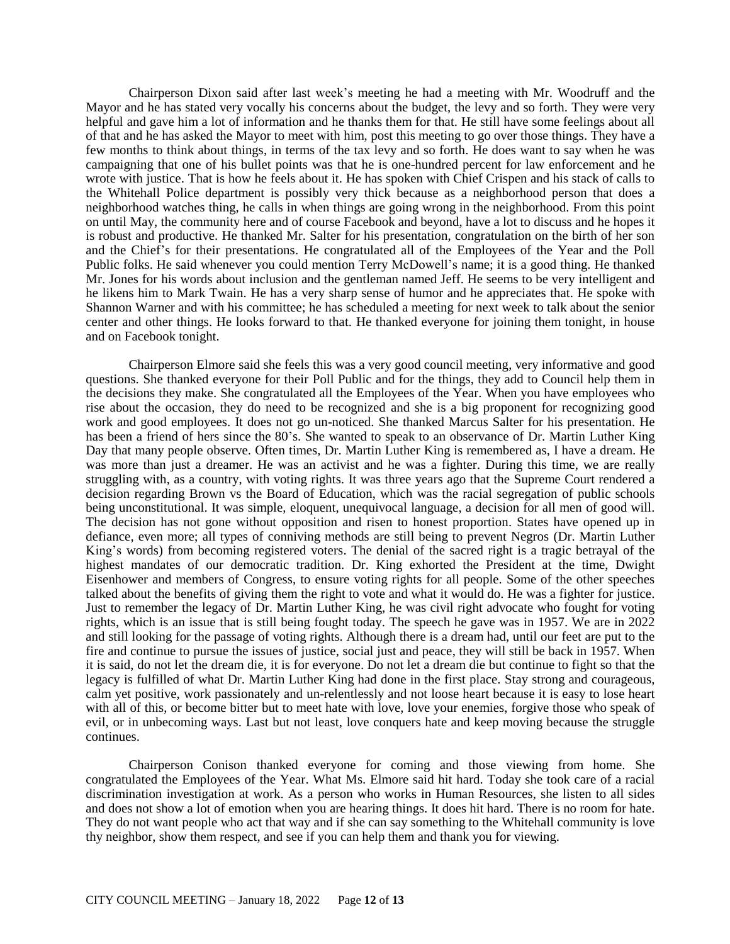Chairperson Dixon said after last week's meeting he had a meeting with Mr. Woodruff and the Mayor and he has stated very vocally his concerns about the budget, the levy and so forth. They were very helpful and gave him a lot of information and he thanks them for that. He still have some feelings about all of that and he has asked the Mayor to meet with him, post this meeting to go over those things. They have a few months to think about things, in terms of the tax levy and so forth. He does want to say when he was campaigning that one of his bullet points was that he is one-hundred percent for law enforcement and he wrote with justice. That is how he feels about it. He has spoken with Chief Crispen and his stack of calls to the Whitehall Police department is possibly very thick because as a neighborhood person that does a neighborhood watches thing, he calls in when things are going wrong in the neighborhood. From this point on until May, the community here and of course Facebook and beyond, have a lot to discuss and he hopes it is robust and productive. He thanked Mr. Salter for his presentation, congratulation on the birth of her son and the Chief's for their presentations. He congratulated all of the Employees of the Year and the Poll Public folks. He said whenever you could mention Terry McDowell's name; it is a good thing. He thanked Mr. Jones for his words about inclusion and the gentleman named Jeff. He seems to be very intelligent and he likens him to Mark Twain. He has a very sharp sense of humor and he appreciates that. He spoke with Shannon Warner and with his committee; he has scheduled a meeting for next week to talk about the senior center and other things. He looks forward to that. He thanked everyone for joining them tonight, in house and on Facebook tonight.

Chairperson Elmore said she feels this was a very good council meeting, very informative and good questions. She thanked everyone for their Poll Public and for the things, they add to Council help them in the decisions they make. She congratulated all the Employees of the Year. When you have employees who rise about the occasion, they do need to be recognized and she is a big proponent for recognizing good work and good employees. It does not go un-noticed. She thanked Marcus Salter for his presentation. He has been a friend of hers since the 80's. She wanted to speak to an observance of Dr. Martin Luther King Day that many people observe. Often times, Dr. Martin Luther King is remembered as, I have a dream. He was more than just a dreamer. He was an activist and he was a fighter. During this time, we are really struggling with, as a country, with voting rights. It was three years ago that the Supreme Court rendered a decision regarding Brown vs the Board of Education, which was the racial segregation of public schools being unconstitutional. It was simple, eloquent, unequivocal language, a decision for all men of good will. The decision has not gone without opposition and risen to honest proportion. States have opened up in defiance, even more; all types of conniving methods are still being to prevent Negros (Dr. Martin Luther King's words) from becoming registered voters. The denial of the sacred right is a tragic betrayal of the highest mandates of our democratic tradition. Dr. King exhorted the President at the time, Dwight Eisenhower and members of Congress, to ensure voting rights for all people. Some of the other speeches talked about the benefits of giving them the right to vote and what it would do. He was a fighter for justice. Just to remember the legacy of Dr. Martin Luther King, he was civil right advocate who fought for voting rights, which is an issue that is still being fought today. The speech he gave was in 1957. We are in 2022 and still looking for the passage of voting rights. Although there is a dream had, until our feet are put to the fire and continue to pursue the issues of justice, social just and peace, they will still be back in 1957. When it is said, do not let the dream die, it is for everyone. Do not let a dream die but continue to fight so that the legacy is fulfilled of what Dr. Martin Luther King had done in the first place. Stay strong and courageous, calm yet positive, work passionately and un-relentlessly and not loose heart because it is easy to lose heart with all of this, or become bitter but to meet hate with love, love your enemies, forgive those who speak of evil, or in unbecoming ways. Last but not least, love conquers hate and keep moving because the struggle continues.

Chairperson Conison thanked everyone for coming and those viewing from home. She congratulated the Employees of the Year. What Ms. Elmore said hit hard. Today she took care of a racial discrimination investigation at work. As a person who works in Human Resources, she listen to all sides and does not show a lot of emotion when you are hearing things. It does hit hard. There is no room for hate. They do not want people who act that way and if she can say something to the Whitehall community is love thy neighbor, show them respect, and see if you can help them and thank you for viewing.